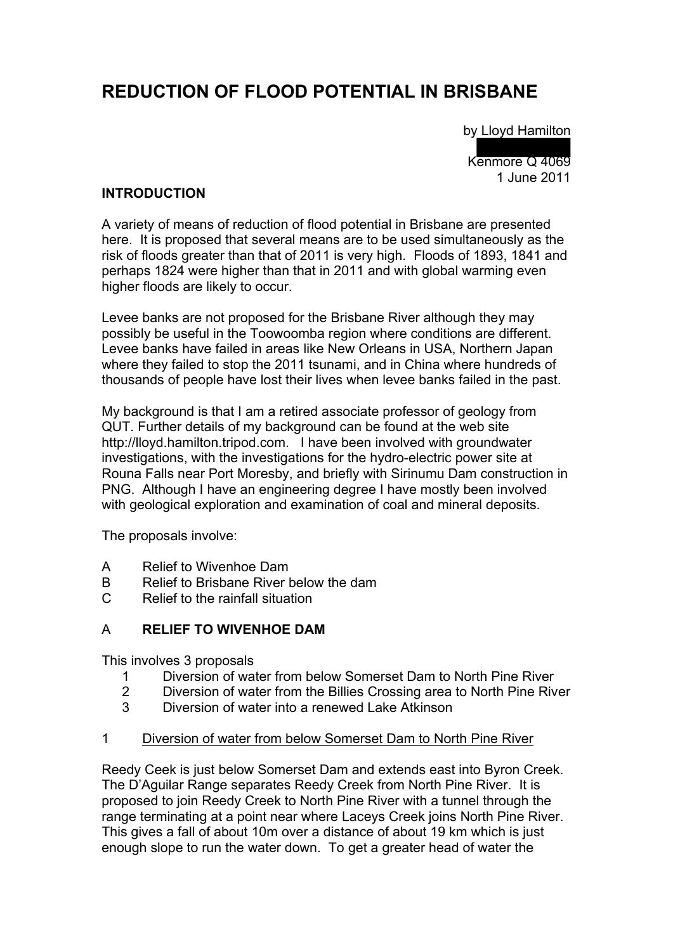# **REDUCTION OF FLOOD POTENTIAL IN BRISBANE**

by Lloyd Hamilton

 $\overline{\phantom{a}}$ Kenmore Q 4069 1 June 2011

## **INTRODUCTION**

A variety of means of reduction of flood potential in Brisbane are presented here. It is proposed that several means are to be used simultaneously as the risk of floods greater than that of 2011 is very high. Floods of 1893, 1841 and perhaps 1824 were higher than that in 2011 and with global warming even higher floods are likely to occur.

Levee banks are not proposed for the Brisbane River although they may possibly be useful in the Toowoomba region where conditions are different. Levee banks have failed in areas like New Orleans in USA, Northern Japan where they failed to stop the 2011 tsunami, and in China where hundreds of thousands of people have lost their lives when levee banks failed in the past.

My background is that I am a retired associate professor of geology from QUT. Further details of my background can be found at the web site http://lloyd.hamilton.tripod.com. I have been involved with groundwater investigations, with the investigations for the hydro-electric power site at Rouna Falls near Port Moresby, and briefly with Sirinumu Dam construction in PNG. Although I have an engineering degree I have mostly been involved with geological exploration and examination of coal and mineral deposits.

The proposals involve:

- A Relief to Wivenhoe Dam
- B Relief to Brisbane River below the dam
- C Relief to the rainfall situation

### A **RELIEF TO WIVENHOE DAM**

This involves 3 proposals

- 1 Diversion of water from below Somerset Dam to North Pine River<br>2 Diversion of water from the Billies Crossing area to North Pine Riv
- 2 Diversion of water from the Billies Crossing area to North Pine River<br>3 Diversion of water into a renewed Lake Atkinson
- Diversion of water into a renewed Lake Atkinson

#### 1 Diversion of water from below Somerset Dam to North Pine River

Reedy Ceek is just below Somerset Dam and extends east into Byron Creek. The D'Aguilar Range separates Reedy Creek from North Pine River. It is proposed to join Reedy Creek to North Pine River with a tunnel through the range terminating at a point near where Laceys Creek joins North Pine River. This gives a fall of about 10m over a distance of about 19 km which is just enough slope to run the water down. To get a greater head of water the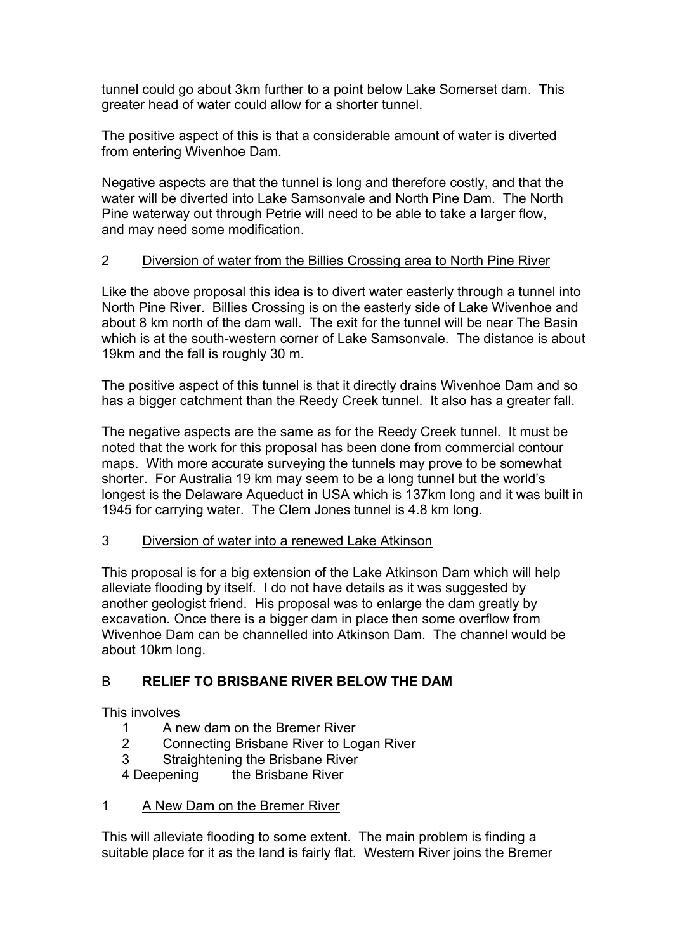tunnel could go about 3km further to a point below Lake Somerset dam. This greater head of water could allow for a shorter tunnel.

The positive aspect of this is that a considerable amount of water is diverted from entering Wivenhoe Dam.

Negative aspects are that the tunnel is long and therefore costly, and that the water will be diverted into Lake Samsonvale and North Pine Dam. The North Pine waterway out through Petrie will need to be able to take a larger flow, and may need some modification.

# 2 Diversion of water from the Billies Crossing area to North Pine River

Like the above proposal this idea is to divert water easterly through a tunnel into North Pine River. Billies Crossing is on the easterly side of Lake Wivenhoe and about 8 km north of the dam wall. The exit for the tunnel will be near The Basin which is at the south-western corner of Lake Samsonvale. The distance is about 19km and the fall is roughly 30 m.

The positive aspect of this tunnel is that it directly drains Wivenhoe Dam and so has a bigger catchment than the Reedy Creek tunnel. It also has a greater fall.

The negative aspects are the same as for the Reedy Creek tunnel. It must be noted that the work for this proposal has been done from commercial contour maps. With more accurate surveying the tunnels may prove to be somewhat shorter. For Australia 19 km may seem to be a long tunnel but the world's longest is the Delaware Aqueduct in USA which is 137km long and it was built in 1945 for carrying water. The Clem Jones tunnel is 4.8 km long.

# 3 Diversion of water into a renewed Lake Atkinson

This proposal is for a big extension of the Lake Atkinson Dam which will help alleviate flooding by itself. I do not have details as it was suggested by another geologist friend. His proposal was to enlarge the dam greatly by excavation. Once there is a bigger dam in place then some overflow from Wivenhoe Dam can be channelled into Atkinson Dam. The channel would be about 10km long.

# B **RELIEF TO BRISBANE RIVER BELOW THE DAM**

This involves

- 1 A new dam on the Bremer River
- 2 Connecting Brisbane River to Logan River
- 3 Straightening the Brisbane River
- 4 Deepening the Brisbane River

# 1 A New Dam on the Bremer River

This will alleviate flooding to some extent. The main problem is finding a suitable place for it as the land is fairly flat. Western River joins the Bremer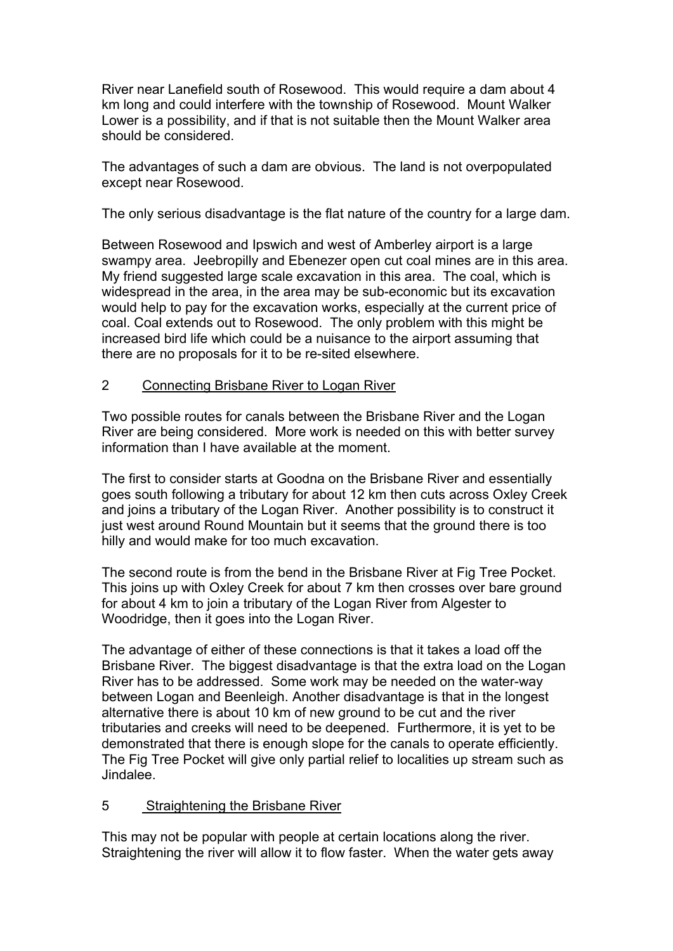River near Lanefield south of Rosewood. This would require a dam about 4 km long and could interfere with the township of Rosewood. Mount Walker Lower is a possibility, and if that is not suitable then the Mount Walker area should be considered.

The advantages of such a dam are obvious. The land is not overpopulated except near Rosewood.

The only serious disadvantage is the flat nature of the country for a large dam.

Between Rosewood and Ipswich and west of Amberley airport is a large swampy area. Jeebropilly and Ebenezer open cut coal mines are in this area. My friend suggested large scale excavation in this area. The coal, which is widespread in the area, in the area may be sub-economic but its excavation would help to pay for the excavation works, especially at the current price of coal. Coal extends out to Rosewood. The only problem with this might be increased bird life which could be a nuisance to the airport assuming that there are no proposals for it to be re-sited elsewhere.

#### 2 Connecting Brisbane River to Logan River

Two possible routes for canals between the Brisbane River and the Logan River are being considered. More work is needed on this with better survey information than I have available at the moment.

The first to consider starts at Goodna on the Brisbane River and essentially goes south following a tributary for about 12 km then cuts across Oxley Creek and joins a tributary of the Logan River. Another possibility is to construct it just west around Round Mountain but it seems that the ground there is too hilly and would make for too much excavation.

The second route is from the bend in the Brisbane River at Fig Tree Pocket. This joins up with Oxley Creek for about 7 km then crosses over bare ground for about 4 km to join a tributary of the Logan River from Algester to Woodridge, then it goes into the Logan River.

The advantage of either of these connections is that it takes a load off the Brisbane River. The biggest disadvantage is that the extra load on the Logan River has to be addressed. Some work may be needed on the water-way between Logan and Beenleigh. Another disadvantage is that in the longest alternative there is about 10 km of new ground to be cut and the river tributaries and creeks will need to be deepened. Furthermore, it is yet to be demonstrated that there is enough slope for the canals to operate efficiently. The Fig Tree Pocket will give only partial relief to localities up stream such as Jindalee.

### 5 Straightening the Brisbane River

This may not be popular with people at certain locations along the river. Straightening the river will allow it to flow faster. When the water gets away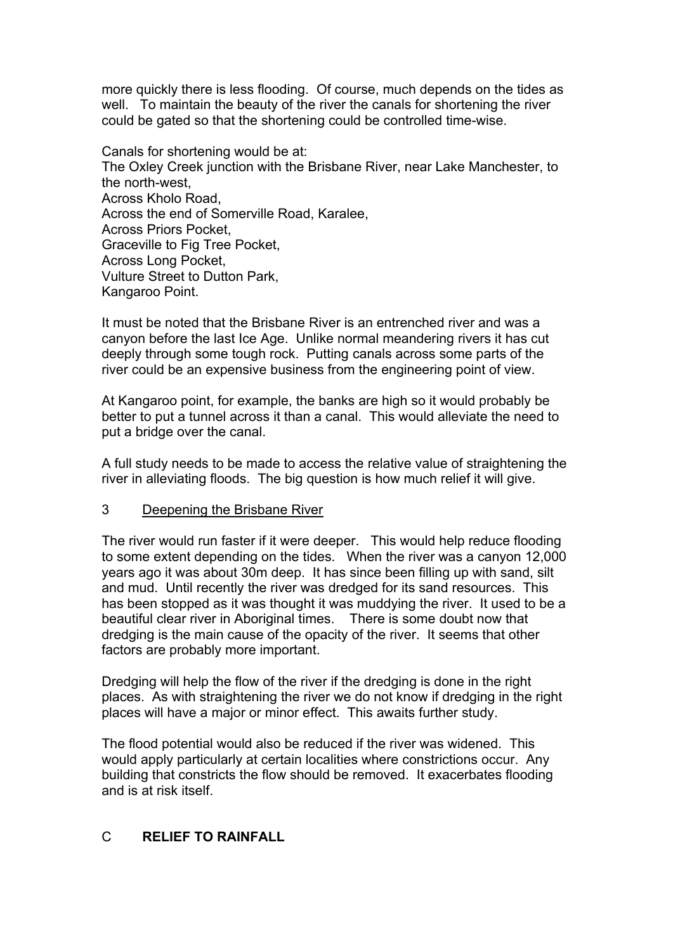more quickly there is less flooding. Of course, much depends on the tides as well. To maintain the beauty of the river the canals for shortening the river could be gated so that the shortening could be controlled time-wise.

Canals for shortening would be at: The Oxley Creek junction with the Brisbane River, near Lake Manchester, to the north-west, Across Kholo Road, Across the end of Somerville Road, Karalee, Across Priors Pocket, Graceville to Fig Tree Pocket, Across Long Pocket, Vulture Street to Dutton Park, Kangaroo Point.

It must be noted that the Brisbane River is an entrenched river and was a canyon before the last Ice Age. Unlike normal meandering rivers it has cut deeply through some tough rock. Putting canals across some parts of the river could be an expensive business from the engineering point of view.

At Kangaroo point, for example, the banks are high so it would probably be better to put a tunnel across it than a canal. This would alleviate the need to put a bridge over the canal.

A full study needs to be made to access the relative value of straightening the river in alleviating floods. The big question is how much relief it will give.

### 3 Deepening the Brisbane River

The river would run faster if it were deeper. This would help reduce flooding to some extent depending on the tides. When the river was a canyon 12,000 years ago it was about 30m deep. It has since been filling up with sand, silt and mud. Until recently the river was dredged for its sand resources. This has been stopped as it was thought it was muddying the river. It used to be a beautiful clear river in Aboriginal times. There is some doubt now that dredging is the main cause of the opacity of the river. It seems that other factors are probably more important.

Dredging will help the flow of the river if the dredging is done in the right places. As with straightening the river we do not know if dredging in the right places will have a major or minor effect. This awaits further study.

The flood potential would also be reduced if the river was widened. This would apply particularly at certain localities where constrictions occur. Any building that constricts the flow should be removed. It exacerbates flooding and is at risk itself.

## C **RELIEF TO RAINFALL**